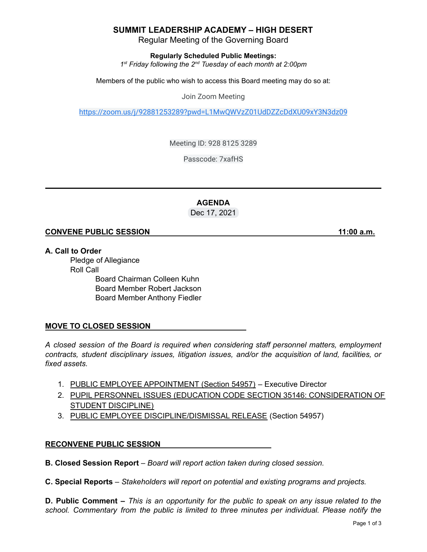# **SUMMIT LEADERSHIP ACADEMY – HIGH DESERT**

Regular Meeting of the Governing Board

**Regularly Scheduled Public Meetings:**

*1 st Friday following the 2 nd Tuesday of each month at 2:00pm*

Members of the public who wish to access this Board meeting may do so at:

Join Zoom Meeting

<https://zoom.us/j/92881253289?pwd=L1MwQWVzZ01UdDZZcDdXU09xY3N3dz09>

Meeting ID: 928 8125 3289

Passcode: 7xafHS

**AGENDA** Dec 17, 2021

### **CONVENE PUBLIC SESSION 11:00 a.m.**

**A. Call to Order**

Pledge of Allegiance Roll Call Board Chairman Colleen Kuhn Board Member Robert Jackson Board Member Anthony Fiedler

# **MOVE TO CLOSED SESSION**

*A closed session of the Board is required when considering staff personnel matters, employment contracts, student disciplinary issues, litigation issues, and/or the acquisition of land, facilities, or fixed assets.*

- 1. PUBLIC EMPLOYEE APPOINTMENT (Section 54957) Executive Director
- 2. PUPIL PERSONNEL ISSUES (EDUCATION CODE SECTION 35146: CONSIDERATION OF STUDENT DISCIPLINE)
- 3. PUBLIC EMPLOYEE DISCIPLINE/DISMISSAL RELEASE (Section 54957)

#### **RECONVENE PUBLIC SESSION**

**B. Closed Session Report** – *Board will report action taken during closed session.*

**C. Special Reports** *– Stakeholders will report on potential and existing programs and projects.*

**D. Public Comment –** This is an opportunity for the public to speak on any issue related to the *school. Commentary from the public is limited to three minutes per individual. Please notify the*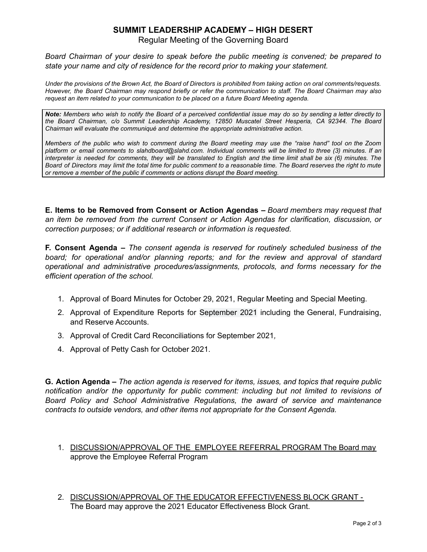# **SUMMIT LEADERSHIP ACADEMY – HIGH DESERT**

Regular Meeting of the Governing Board

*Board Chairman of your desire to speak before the public meeting is convened; be prepared to state your name and city of residence for the record prior to making your statement.*

Under the provisions of the Brown Act, the Board of Directors is prohibited from taking action on oral comments/requests. However, the Board Chairman may respond briefly or refer the communication to staff. The Board Chairman may also *request an item related to your communication to be placed on a future Board Meeting agenda.*

Note: Members who wish to notify the Board of a perceived confidential issue may do so by sending a letter directly to *the Board Chairman, c/o Summit Leadership Academy, 12850 Muscatel Street Hesperia, CA 92344. The Board Chairman will evaluate the communiqué and determine the appropriate administrative action.*

Members of the public who wish to comment during the Board meeting may use the "raise hand" tool on the Zoom platform or email comments to slahdboard@slahd.com. Individual comments will be limited to three (3) minutes. If an interpreter is needed for comments, they will be translated to English and the time limit shall be six (6) minutes. The Board of Directors may limit the total time for public comment to a reasonable time. The Board reserves the right to mute *or remove a member of the public if comments or actions disrupt the Board meeting.*

**E. Items to be Removed from Consent or Action Agendas –** *Board members may request that an item be removed from the current Consent or Action Agendas for clarification, discussion, or correction purposes; or if additional research or information is requested.*

**F. Consent Agenda –** *The consent agenda is reserved for routinely scheduled business of the board; for operational and/or planning reports; and for the review and approval of standard operational and administrative procedures/assignments, protocols, and forms necessary for the efficient operation of the school.*

- 1. Approval of Board Minutes for October 29, 2021, Regular Meeting and Special Meeting.
- 2. Approval of Expenditure Reports for September 2021 including the General, Fundraising, and Reserve Accounts.
- 3. Approval of Credit Card Reconciliations for September 2021*,*
- 4. Approval of Petty Cash for October 2021.

**G. Action Agenda –** *The action agenda is reserved for items, issues, and topics that require public notification and/or the opportunity for public comment: including but not limited to revisions of Board Policy and School Administrative Regulations, the award of service and maintenance contracts to outside vendors, and other items not appropriate for the Consent Agenda.*

- 1. DISCUSSION/APPROVAL OF THE EMPLOYEE REFERRAL PROGRAM The Board may approve the Employee Referral Program
- 2. DISCUSSION/APPROVAL OF THE EDUCATOR EFFECTIVENESS BLOCK GRANT The Board may approve the 2021 Educator Effectiveness Block Grant.